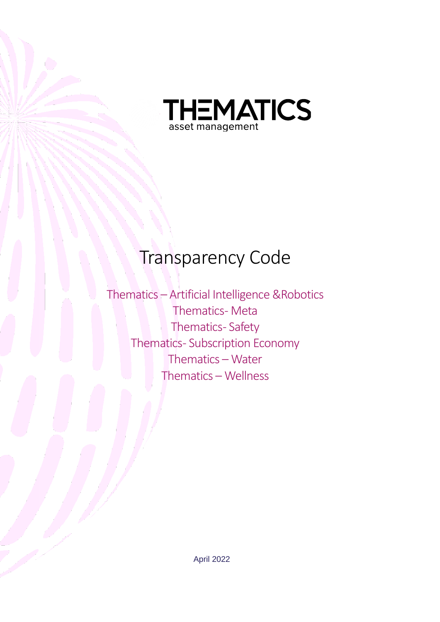

# Transparency Code

Thematics – Artificial Intelligence &Robotics Thematics- Meta Thematics-Safety Thematics- Subscription Economy Thematics – Water Thematics – Wellness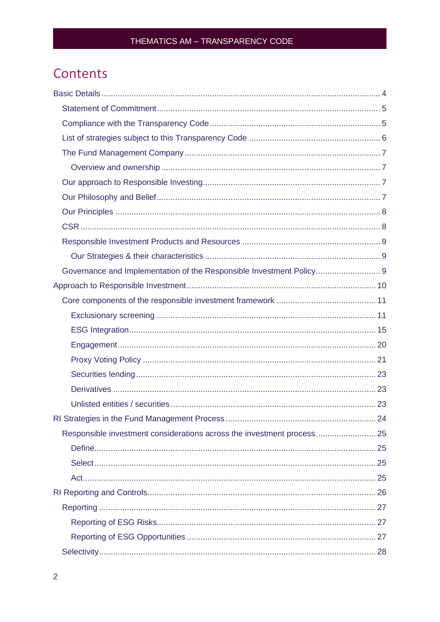## Contents

| Governance and Implementation of the Responsible Investment Policy 9   |  |
|------------------------------------------------------------------------|--|
|                                                                        |  |
|                                                                        |  |
|                                                                        |  |
|                                                                        |  |
|                                                                        |  |
|                                                                        |  |
|                                                                        |  |
|                                                                        |  |
|                                                                        |  |
|                                                                        |  |
| Responsible investment considerations across the investment process 25 |  |
|                                                                        |  |
|                                                                        |  |
|                                                                        |  |
|                                                                        |  |
|                                                                        |  |
|                                                                        |  |
|                                                                        |  |
|                                                                        |  |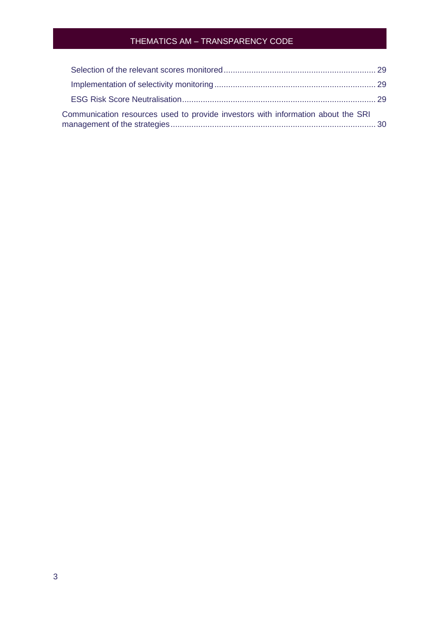| Communication resources used to provide investors with information about the SRI |  |
|----------------------------------------------------------------------------------|--|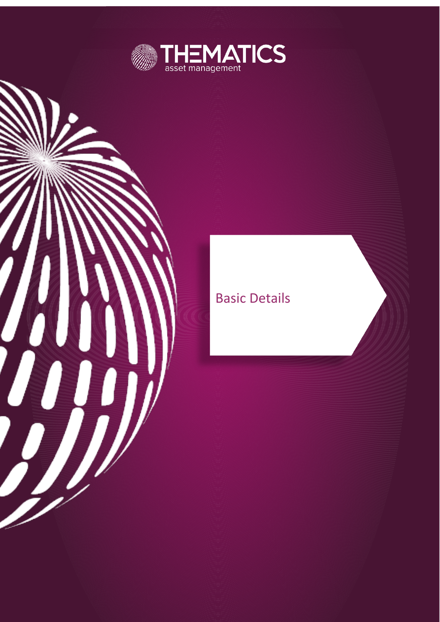

## **Basic Details**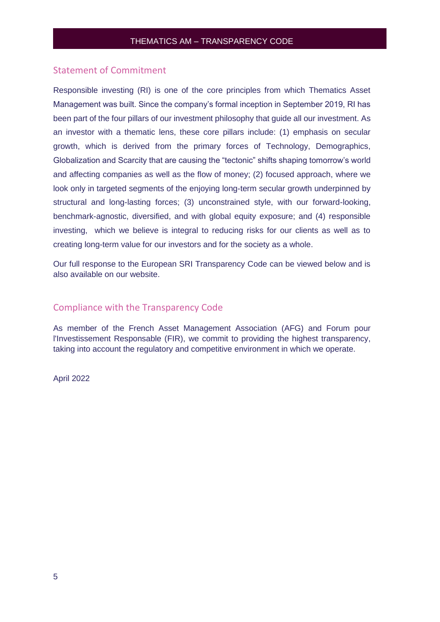#### <span id="page-4-0"></span>Statement of Commitment

Responsible investing (RI) is one of the core principles from which Thematics Asset Management was built. Since the company's formal inception in September 2019, RI has been part of the four pillars of our investment philosophy that guide all our investment. As an investor with a thematic lens, these core pillars include: (1) emphasis on secular growth, which is derived from the primary forces of Technology, Demographics, Globalization and Scarcity that are causing the "tectonic" shifts shaping tomorrow's world and affecting companies as well as the flow of money; (2) focused approach, where we look only in targeted segments of the enjoying long-term secular growth underpinned by structural and long-lasting forces; (3) unconstrained style, with our forward-looking, benchmark-agnostic, diversified, and with global equity exposure; and (4) responsible investing, which we believe is integral to reducing risks for our clients as well as to creating long-term value for our investors and for the society as a whole.

<span id="page-4-1"></span>Our full response to the European SRI Transparency Code can be viewed below and is also available on our website.

#### Compliance with the Transparency Code

As member of the French Asset Management Association (AFG) and Forum pour l'Investissement Responsable (FIR), we commit to providing the highest transparency, taking into account the regulatory and competitive environment in which we operate.

April 2022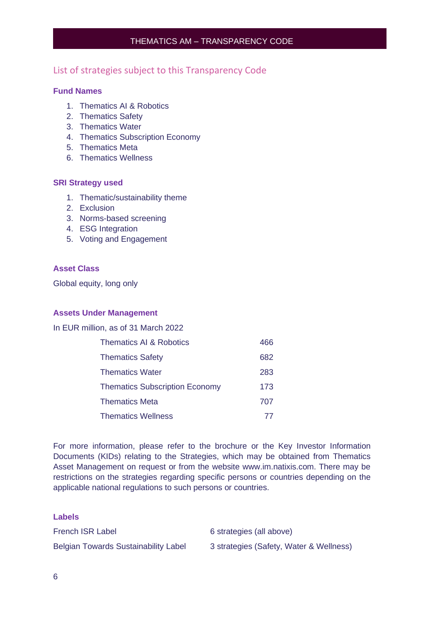#### <span id="page-5-0"></span>List of strategies subject to this Transparency Code

#### **Fund Names**

- 1. Thematics AI & Robotics
- 2. Thematics Safety
- 3. Thematics Water
- 4. Thematics Subscription Economy
- 5. Thematics Meta
- 6. Thematics Wellness

#### **SRI Strategy used**

- 1. Thematic/sustainability theme
- 2. Exclusion
- 3. Norms-based screening
- 4. ESG Integration
- 5. Voting and Engagement

#### **Asset Class**

Global equity, long only

#### **Assets Under Management**

In EUR million, as of 31 March 2022

| Thematics AI & Robotics               | 466 |
|---------------------------------------|-----|
| <b>Thematics Safety</b>               | 682 |
| <b>Thematics Water</b>                | 283 |
| <b>Thematics Subscription Economy</b> | 173 |
| <b>Thematics Meta</b>                 | 707 |
| <b>Thematics Wellness</b>             | 77  |

For more information, please refer to the brochure or the Key Investor Information Documents (KIDs) relating to the Strategies, which may be obtained from Thematics Asset Management on request or from the website www.im.natixis.com. There may be restrictions on the strategies regarding specific persons or countries depending on the applicable national regulations to such persons or countries.

**Labels** French ISR Label 6 strategies (all above) Belgian Towards Sustainability Label 3 strategies (Safety, Water & Wellness)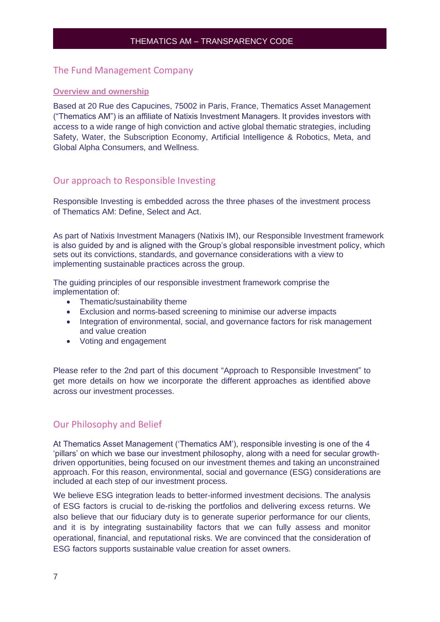#### <span id="page-6-0"></span>The Fund Management Company

#### <span id="page-6-1"></span>**Overview and ownership**

Based at 20 Rue des Capucines, 75002 in Paris, France, Thematics Asset Management ("Thematics AM") is an affiliate of Natixis Investment Managers. It provides investors with access to a wide range of high conviction and active global thematic strategies, including Safety, Water, the Subscription Economy, Artificial Intelligence & Robotics, Meta, and Global Alpha Consumers, and Wellness.

#### <span id="page-6-2"></span>Our approach to Responsible Investing

Responsible Investing is embedded across the three phases of the investment process of Thematics AM: Define, Select and Act.

As part of Natixis Investment Managers (Natixis IM), our Responsible Investment framework is also guided by and is aligned with the Group's global responsible investment policy, which sets out its convictions, standards, and governance considerations with a view to implementing sustainable practices across the group.

The guiding principles of our responsible investment framework comprise the implementation of:

- Thematic/sustainability theme
- Exclusion and norms-based screening to minimise our adverse impacts
- Integration of environmental, social, and governance factors for risk management and value creation
- Voting and engagement

Please refer to the 2nd part of this document "Approach to Responsible Investment" to get more details on how we incorporate the different approaches as identified above across our investment processes.

### <span id="page-6-3"></span>Our Philosophy and Belief

At Thematics Asset Management ('Thematics AM'), responsible investing is one of the 4 'pillars' on which we base our investment philosophy, along with a need for secular growthdriven opportunities, being focused on our investment themes and taking an unconstrained approach. For this reason, environmental, social and governance (ESG) considerations are included at each step of our investment process.

We believe ESG integration leads to better-informed investment decisions. The analysis of ESG factors is crucial to de-risking the portfolios and delivering excess returns. We also believe that our fiduciary duty is to generate superior performance for our clients, and it is by integrating sustainability factors that we can fully assess and monitor operational, financial, and reputational risks. We are convinced that the consideration of ESG factors supports sustainable value creation for asset owners.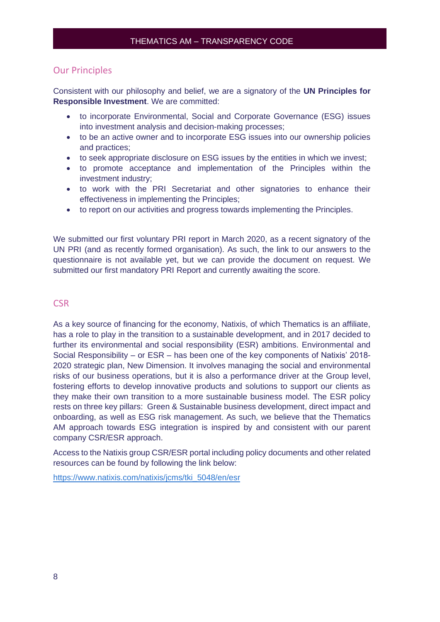#### <span id="page-7-0"></span>Our Principles

Consistent with our philosophy and belief, we are a signatory of the **UN Principles for Responsible Investment**. We are committed:

- to incorporate Environmental, Social and Corporate Governance (ESG) issues into investment analysis and decision-making processes;
- to be an active owner and to incorporate ESG issues into our ownership policies and practices;
- to seek appropriate disclosure on ESG issues by the entities in which we invest;
- to promote acceptance and implementation of the Principles within the investment industry;
- to work with the PRI Secretariat and other signatories to enhance their effectiveness in implementing the Principles;
- to report on our activities and progress towards implementing the Principles.

We submitted our first voluntary PRI report in March 2020, as a recent signatory of the UN PRI (and as recently formed organisation). As such, the link to our answers to the questionnaire is not available yet, but we can provide the document on request. We submitted our first mandatory PRI Report and currently awaiting the score.

#### <span id="page-7-1"></span>**CSR**

As a key source of financing for the economy, Natixis, of which Thematics is an affiliate, has a role to play in the transition to a sustainable development, and in 2017 decided to further its environmental and social responsibility (ESR) ambitions. Environmental and Social Responsibility – or ESR – has been one of the key components of Natixis' 2018- 2020 strategic plan, New Dimension. It involves managing the social and environmental risks of our business operations, but it is also a performance driver at the Group level, fostering efforts to develop innovative products and solutions to support our clients as they make their own transition to a more sustainable business model. The ESR policy rests on three key pillars: Green & Sustainable business development, direct impact and onboarding, as well as ESG risk management. As such, we believe that the Thematics AM approach towards ESG integration is inspired by and consistent with our parent company CSR/ESR approach.

Access to the Natixis group CSR/ESR portal including policy documents and other related resources can be found by following the link below:

[https://www.natixis.com/natixis/jcms/tki\\_5048/en/esr](https://www.natixis.com/natixis/jcms/tki_5048/en/esr)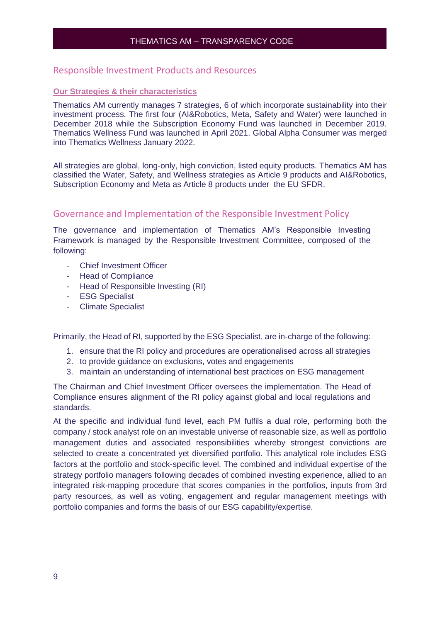#### <span id="page-8-0"></span>Responsible Investment Products and Resources

#### <span id="page-8-1"></span>**Our Strategies & their characteristics**

Thematics AM currently manages 7 strategies, 6 of which incorporate sustainability into their investment process. The first four (AI&Robotics, Meta, Safety and Water) were launched in December 2018 while the Subscription Economy Fund was launched in December 2019. Thematics Wellness Fund was launched in April 2021. Global Alpha Consumer was merged into Thematics Wellness January 2022.

All strategies are global, long-only, high conviction, listed equity products. Thematics AM has classified the Water, Safety, and Wellness strategies as Article 9 products and AI&Robotics, Subscription Economy and Meta as Article 8 products under the EU SFDR.

#### <span id="page-8-2"></span>Governance and Implementation of the Responsible Investment Policy

The governance and implementation of Thematics AM's Responsible Investing Framework is managed by the Responsible Investment Committee, composed of the following:

- Chief Investment Officer
- Head of Compliance
- Head of Responsible Investing (RI)
- ESG Specialist
- Climate Specialist

Primarily, the Head of RI, supported by the ESG Specialist, are in-charge of the following:

- 1. ensure that the RI policy and procedures are operationalised across all strategies
- 2. to provide guidance on exclusions, votes and engagements
- 3. maintain an understanding of international best practices on ESG management

The Chairman and Chief Investment Officer oversees the implementation. The Head of Compliance ensures alignment of the RI policy against global and local regulations and standards.

At the specific and individual fund level, each PM fulfils a dual role, performing both the company / stock analyst role on an investable universe of reasonable size, as well as portfolio management duties and associated responsibilities whereby strongest convictions are selected to create a concentrated yet diversified portfolio. This analytical role includes ESG factors at the portfolio and stock-specific level. The combined and individual expertise of the strategy portfolio managers following decades of combined investing experience, allied to an integrated risk-mapping procedure that scores companies in the portfolios, inputs from 3rd party resources, as well as voting, engagement and regular management meetings with portfolio companies and forms the basis of our ESG capability/expertise.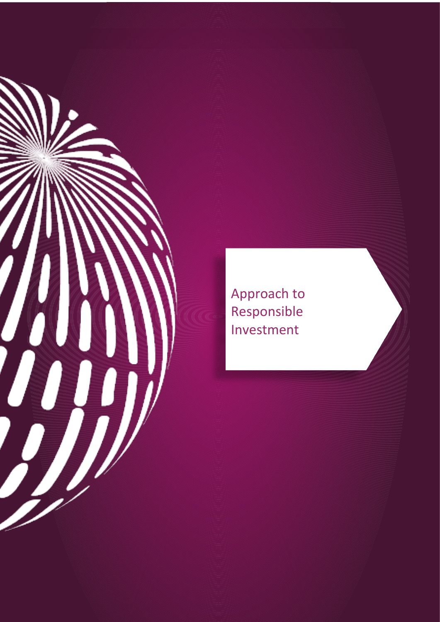

Approach to Responsible Investment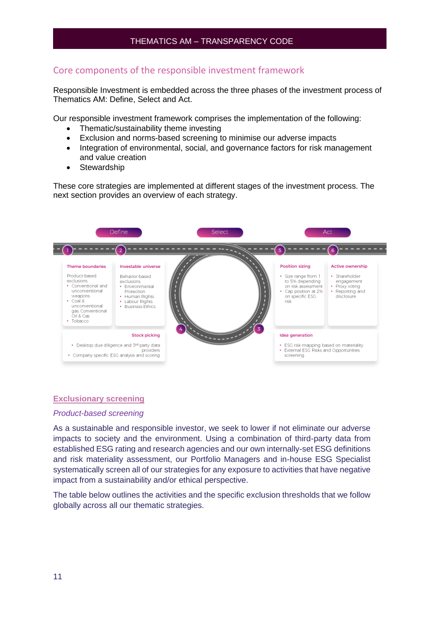#### <span id="page-10-0"></span>Core components of the responsible investment framework

Responsible Investment is embedded across the three phases of the investment process of Thematics AM: Define, Select and Act.

Our responsible investment framework comprises the implementation of the following:

- Thematic/sustainability theme investing
- Exclusion and norms-based screening to minimise our adverse impacts
- Integration of environmental, social, and governance factors for risk management and value creation
- Stewardship

These core strategies are implemented at different stages of the investment process. The next section provides an overview of each strategy.



#### <span id="page-10-1"></span>**Exclusionary screening**

#### *Product-based screening*

As a sustainable and responsible investor, we seek to lower if not eliminate our adverse impacts to society and the environment. Using a combination of third-party data from established ESG rating and research agencies and our own internally-set ESG definitions and risk materiality assessment, our Portfolio Managers and in-house ESG Specialist systematically screen all of our strategies for any exposure to activities that have negative impact from a sustainability and/or ethical perspective.

The table below outlines the activities and the specific exclusion thresholds that we follow globally across all our thematic strategies.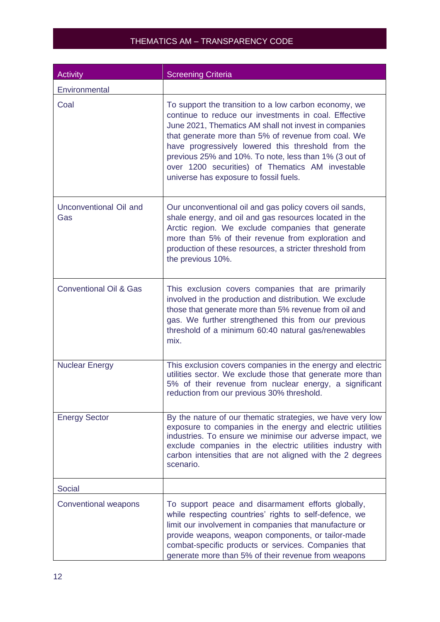| <b>Activity</b>                   | <b>Screening Criteria</b>                                                                                                                                                                                                                                                                                                                                                                                                                   |
|-----------------------------------|---------------------------------------------------------------------------------------------------------------------------------------------------------------------------------------------------------------------------------------------------------------------------------------------------------------------------------------------------------------------------------------------------------------------------------------------|
| Environmental                     |                                                                                                                                                                                                                                                                                                                                                                                                                                             |
| Coal                              | To support the transition to a low carbon economy, we<br>continue to reduce our investments in coal. Effective<br>June 2021, Thematics AM shall not invest in companies<br>that generate more than 5% of revenue from coal. We<br>have progressively lowered this threshold from the<br>previous 25% and 10%. To note, less than 1% (3 out of<br>over 1200 securities) of Thematics AM investable<br>universe has exposure to fossil fuels. |
| Unconventional Oil and<br>Gas     | Our unconventional oil and gas policy covers oil sands,<br>shale energy, and oil and gas resources located in the<br>Arctic region. We exclude companies that generate<br>more than 5% of their revenue from exploration and<br>production of these resources, a stricter threshold from<br>the previous 10%.                                                                                                                               |
| <b>Conventional Oil &amp; Gas</b> | This exclusion covers companies that are primarily<br>involved in the production and distribution. We exclude<br>those that generate more than 5% revenue from oil and<br>gas. We further strengthened this from our previous<br>threshold of a minimum 60:40 natural gas/renewables<br>mix.                                                                                                                                                |
| <b>Nuclear Energy</b>             | This exclusion covers companies in the energy and electric<br>utilities sector. We exclude those that generate more than<br>5% of their revenue from nuclear energy, a significant<br>reduction from our previous 30% threshold.                                                                                                                                                                                                            |
| <b>Energy Sector</b>              | By the nature of our thematic strategies, we have very low<br>exposure to companies in the energy and electric utilities<br>industries. To ensure we minimise our adverse impact, we<br>exclude companies in the electric utilities industry with<br>carbon intensities that are not aligned with the 2 degrees<br>scenario.                                                                                                                |
| <b>Social</b>                     |                                                                                                                                                                                                                                                                                                                                                                                                                                             |
| <b>Conventional weapons</b>       | To support peace and disarmament efforts globally,<br>while respecting countries' rights to self-defence, we<br>limit our involvement in companies that manufacture or<br>provide weapons, weapon components, or tailor-made<br>combat-specific products or services. Companies that<br>generate more than 5% of their revenue from weapons                                                                                                 |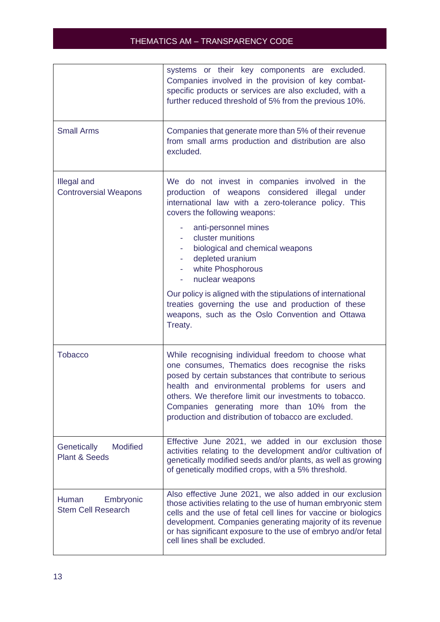|                                                            | systems or their key components are excluded.<br>Companies involved in the provision of key combat-<br>specific products or services are also excluded, with a<br>further reduced threshold of 5% from the previous 10%.                                                                                                                                                              |
|------------------------------------------------------------|---------------------------------------------------------------------------------------------------------------------------------------------------------------------------------------------------------------------------------------------------------------------------------------------------------------------------------------------------------------------------------------|
| <b>Small Arms</b>                                          | Companies that generate more than 5% of their revenue<br>from small arms production and distribution are also<br>excluded.                                                                                                                                                                                                                                                            |
| <b>Illegal and</b><br><b>Controversial Weapons</b>         | We do not invest in companies involved in the<br>production of weapons considered illegal under<br>international law with a zero-tolerance policy. This<br>covers the following weapons:                                                                                                                                                                                              |
|                                                            | anti-personnel mines<br>cluster munitions<br>biological and chemical weapons<br>depleted uranium<br>white Phosphorous<br>٠<br>nuclear weapons<br>۰                                                                                                                                                                                                                                    |
|                                                            | Our policy is aligned with the stipulations of international<br>treaties governing the use and production of these<br>weapons, such as the Oslo Convention and Ottawa<br>Treaty.                                                                                                                                                                                                      |
| <b>Tobacco</b>                                             | While recognising individual freedom to choose what<br>one consumes, Thematics does recognise the risks<br>posed by certain substances that contribute to serious<br>health and environmental problems for users and<br>others. We therefore limit our investments to tobacco.<br>Companies generating more than 10% from the<br>production and distribution of tobacco are excluded. |
| <b>Modified</b><br>Genetically<br><b>Plant &amp; Seeds</b> | Effective June 2021, we added in our exclusion those<br>activities relating to the development and/or cultivation of<br>genetically modified seeds and/or plants, as well as growing<br>of genetically modified crops, with a 5% threshold.                                                                                                                                           |
| Human<br>Embryonic<br><b>Stem Cell Research</b>            | Also effective June 2021, we also added in our exclusion<br>those activities relating to the use of human embryonic stem<br>cells and the use of fetal cell lines for vaccine or biologics<br>development. Companies generating majority of its revenue<br>or has significant exposure to the use of embryo and/or fetal<br>cell lines shall be excluded.                             |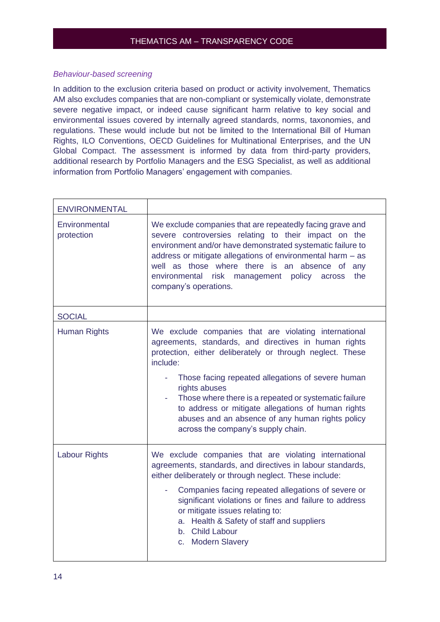#### *Behaviour-based screening*

In addition to the exclusion criteria based on product or activity involvement, Thematics AM also excludes companies that are non-compliant or systemically violate, demonstrate severe negative impact, or indeed cause significant harm relative to key social and environmental issues covered by internally agreed standards, norms, taxonomies, and regulations. These would include but not be limited to the International Bill of Human Rights, ILO Conventions, OECD Guidelines for Multinational Enterprises, and the UN Global Compact. The assessment is informed by data from third-party providers, additional research by Portfolio Managers and the ESG Specialist, as well as additional information from Portfolio Managers' engagement with companies.

| <b>ENVIRONMENTAL</b>        |                                                                                                                                                                                                                                                                                                                                                                                                                                                                        |
|-----------------------------|------------------------------------------------------------------------------------------------------------------------------------------------------------------------------------------------------------------------------------------------------------------------------------------------------------------------------------------------------------------------------------------------------------------------------------------------------------------------|
| Environmental<br>protection | We exclude companies that are repeatedly facing grave and<br>severe controversies relating to their impact on the<br>environment and/or have demonstrated systematic failure to<br>address or mitigate allegations of environmental harm - as<br>well as those where there is an absence of any<br>environmental risk management policy across<br>the<br>company's operations.                                                                                         |
| <b>SOCIAL</b>               |                                                                                                                                                                                                                                                                                                                                                                                                                                                                        |
| <b>Human Rights</b>         | We exclude companies that are violating international<br>agreements, standards, and directives in human rights<br>protection, either deliberately or through neglect. These<br>include:<br>Those facing repeated allegations of severe human<br>rights abuses<br>Those where there is a repeated or systematic failure<br>to address or mitigate allegations of human rights<br>abuses and an absence of any human rights policy<br>across the company's supply chain. |
| <b>Labour Rights</b>        | We exclude companies that are violating international<br>agreements, standards, and directives in labour standards,<br>either deliberately or through neglect. These include:<br>Companies facing repeated allegations of severe or<br>significant violations or fines and failure to address<br>or mitigate issues relating to:<br>a. Health & Safety of staff and suppliers<br>b. Child Labour<br>c. Modern Slavery                                                  |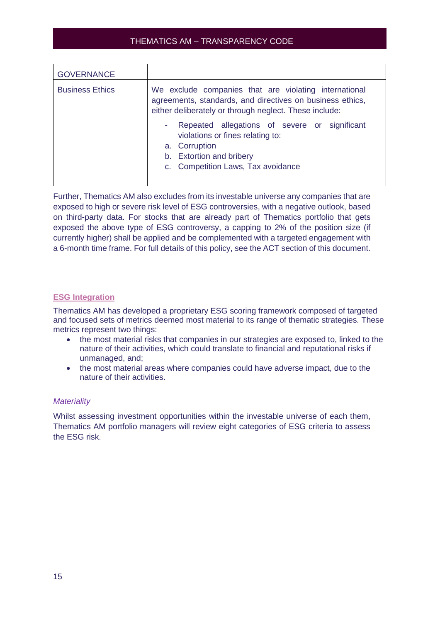| <b>GOVERNANCE</b>      |                                                                                                                                                                              |  |
|------------------------|------------------------------------------------------------------------------------------------------------------------------------------------------------------------------|--|
| <b>Business Ethics</b> | We exclude companies that are violating international<br>agreements, standards, and directives on business ethics,<br>either deliberately or through neglect. These include: |  |
|                        | Repeated allegations of severe or significant<br>н.<br>violations or fines relating to:<br>a. Corruption<br>b. Extortion and bribery<br>c. Competition Laws, Tax avoidance   |  |

Further, Thematics AM also excludes from its investable universe any companies that are exposed to high or severe risk level of ESG controversies, with a negative outlook, based on third-party data. For stocks that are already part of Thematics portfolio that gets exposed the above type of ESG controversy, a capping to 2% of the position size (if currently higher) shall be applied and be complemented with a targeted engagement with a 6-month time frame. For full details of this policy, see the ACT section of this document.

#### <span id="page-14-0"></span>**ESG Integration**

Thematics AM has developed a proprietary ESG scoring framework composed of targeted and focused sets of metrics deemed most material to its range of thematic strategies. These metrics represent two things:

- the most material risks that companies in our strategies are exposed to, linked to the nature of their activities, which could translate to financial and reputational risks if unmanaged, and;
- the most material areas where companies could have adverse impact, due to the nature of their activities.

#### *Materiality*

Whilst assessing investment opportunities within the investable universe of each them, Thematics AM portfolio managers will review eight categories of ESG criteria to assess the ESG risk.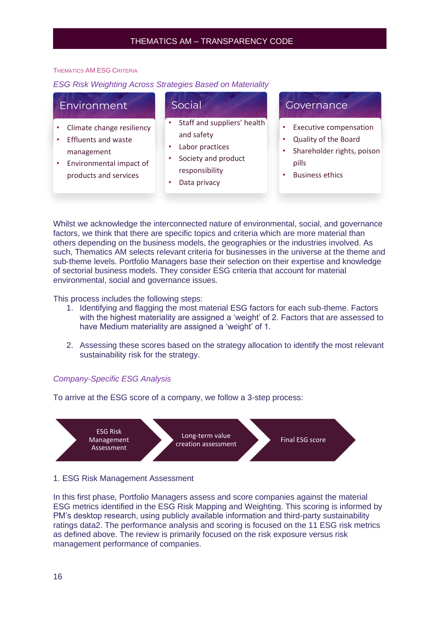#### THEMATICS AM ESG CRITERIA

#### *ESG Risk Weighting Across Strategies Based on Materiality*

| Environment                                                                                                               | Social                                                                                                                | Governance                                                                                                             |
|---------------------------------------------------------------------------------------------------------------------------|-----------------------------------------------------------------------------------------------------------------------|------------------------------------------------------------------------------------------------------------------------|
| Climate change resiliency<br><b>Effluents and waste</b><br>management<br>Environmental impact of<br>products and services | Staff and suppliers' health<br>and safety<br>Labor practices<br>Society and product<br>responsibility<br>Data privacy | <b>Executive compensation</b><br>Quality of the Board<br>Shareholder rights, poison<br>pills<br><b>Business ethics</b> |

Whilst we acknowledge the interconnected nature of environmental, social, and governance factors, we think that there are specific topics and criteria which are more material than others depending on the business models, the geographies or the industries involved. As such, Thematics AM selects relevant criteria for businesses in the universe at the theme and sub-theme levels. Portfolio Managers base their selection on their expertise and knowledge of sectorial business models. They consider ESG criteria that account for material environmental, social and governance issues.

This process includes the following steps:

- 1. Identifying and flagging the most material ESG factors for each sub-theme. Factors with the highest materiality are assigned a 'weight' of 2. Factors that are assessed to have Medium materiality are assigned a 'weight' of 1.
- 2. Assessing these scores based on the strategy allocation to identify the most relevant sustainability risk for the strategy.

#### *Company-Specific ESG Analysis*

To arrive at the ESG score of a company, we follow a 3-step process:



#### 1. ESG Risk Management Assessment

In this first phase, Portfolio Managers assess and score companies against the material ESG metrics identified in the ESG Risk Mapping and Weighting. This scoring is informed by PM's desktop research, using publicly available information and third-party sustainability ratings data2. The performance analysis and scoring is focused on the 11 ESG risk metrics as defined above. The review is primarily focused on the risk exposure versus risk management performance of companies.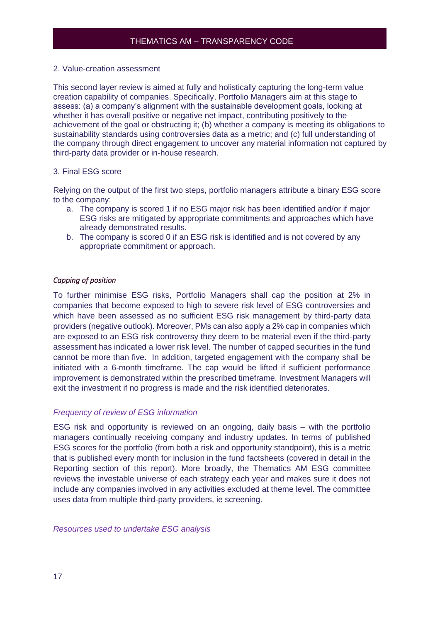#### 2. Value-creation assessment

This second layer review is aimed at fully and holistically capturing the long-term value creation capability of companies. Specifically, Portfolio Managers aim at this stage to assess: (a) a company's alignment with the sustainable development goals, looking at whether it has overall positive or negative net impact, contributing positively to the achievement of the goal or obstructing it; (b) whether a company is meeting its obligations to sustainability standards using controversies data as a metric; and (c) full understanding of the company through direct engagement to uncover any material information not captured by third-party data provider or in-house research.

#### 3. Final ESG score

Relying on the output of the first two steps, portfolio managers attribute a binary ESG score to the company:

- a. The company is scored 1 if no ESG major risk has been identified and/or if major ESG risks are mitigated by appropriate commitments and approaches which have already demonstrated results.
- b. The company is scored 0 if an ESG risk is identified and is not covered by any appropriate commitment or approach.

#### *Capping of position*

To further minimise ESG risks, Portfolio Managers shall cap the position at 2% in companies that become exposed to high to severe risk level of ESG controversies and which have been assessed as no sufficient ESG risk management by third-party data providers (negative outlook). Moreover, PMs can also apply a 2% cap in companies which are exposed to an ESG risk controversy they deem to be material even if the third-party assessment has indicated a lower risk level. The number of capped securities in the fund cannot be more than five. In addition, targeted engagement with the company shall be initiated with a 6-month timeframe. The cap would be lifted if sufficient performance improvement is demonstrated within the prescribed timeframe. Investment Managers will exit the investment if no progress is made and the risk identified deteriorates.

#### *Frequency of review of ESG information*

ESG risk and opportunity is reviewed on an ongoing, daily basis – with the portfolio managers continually receiving company and industry updates. In terms of published ESG scores for the portfolio (from both a risk and opportunity standpoint), this is a metric that is published every month for inclusion in the fund factsheets (covered in detail in the Reporting section of this report). More broadly, the Thematics AM ESG committee reviews the investable universe of each strategy each year and makes sure it does not include any companies involved in any activities excluded at theme level. The committee uses data from multiple third-party providers, ie screening.

*Resources used to undertake ESG analysis*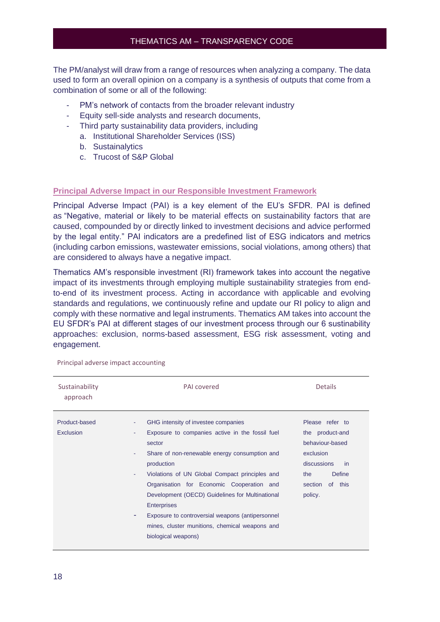The PM/analyst will draw from a range of resources when analyzing a company. The data used to form an overall opinion on a company is a synthesis of outputs that come from a combination of some or all of the following:

- PM's network of contacts from the broader relevant industry
- Equity sell-side analysts and research documents,
- Third party sustainability data providers, including
	- a. Institutional Shareholder Services (ISS)
	- b. Sustainalytics
	- c. Trucost of S&P Global

#### **Principal Adverse Impact in our Responsible Investment Framework**

Principal Adverse Impact (PAI) is a key element of the EU's SFDR. PAI is defined as "Negative, material or likely to be material effects on sustainability factors that are caused, compounded by or directly linked to investment decisions and advice performed by the legal entity." PAI indicators are a predefined list of ESG indicators and metrics (including carbon emissions, wastewater emissions, social violations, among others) that are considered to always have a negative impact.

Thematics AM's responsible investment (RI) framework takes into account the negative impact of its investments through employing multiple sustainability strategies from endto-end of its investment process. Acting in accordance with applicable and evolving standards and regulations, we continuously refine and update our RI policy to align and comply with these normative and legal instruments. Thematics AM takes into account the EU SFDR's PAI at different stages of our investment process through our 6 sustinability approaches: exclusion, norms-based assessment, ESG risk assessment, voting and engagement.

| Sustainability<br>approach | PAI covered                                                                                                                                                                                                                                                                                                                                                                                                                                                                                   | <b>Details</b>                                                                                                                                |
|----------------------------|-----------------------------------------------------------------------------------------------------------------------------------------------------------------------------------------------------------------------------------------------------------------------------------------------------------------------------------------------------------------------------------------------------------------------------------------------------------------------------------------------|-----------------------------------------------------------------------------------------------------------------------------------------------|
| Product-based<br>Exclusion | GHG intensity of investee companies<br>٠<br>Exposure to companies active in the fossil fuel<br>٠<br>sector<br>Share of non-renewable energy consumption and<br>٠<br>production<br>Violations of UN Global Compact principles and<br>٠<br>Organisation for Economic Cooperation and<br>Development (OECD) Guidelines for Multinational<br><b>Enterprises</b><br>Exposure to controversial weapons (antipersonnel<br>٠<br>mines, cluster munitions, chemical weapons and<br>biological weapons) | Please refer to<br>the product-and<br>behaviour-based<br>exclusion<br>discussions<br>in<br><b>Define</b><br>the<br>section of this<br>policy. |

Principal adverse impact accounting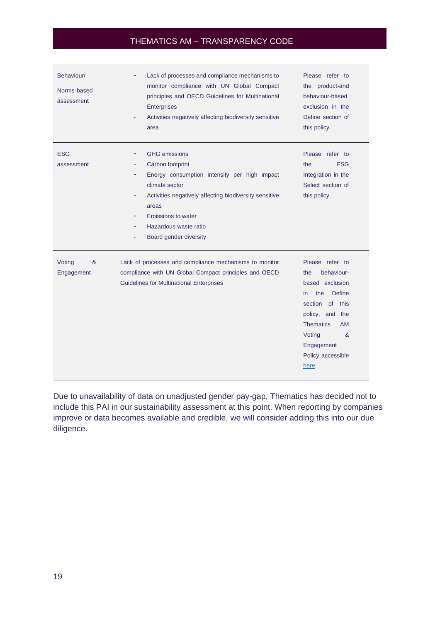| Behaviour/<br>Norms-based<br>assessment | Lack of processes and compliance mechanisms to<br>monitor compliance with UN Global Compact<br>principles and OECD Guidelines for Multinational<br>Enterprises<br>Activities negatively affecting biodiversity sensitive<br>area                                   | Please refer to<br>the product-and<br>behaviour-based<br>exclusion in the<br>Define section of<br>this policy.                                                                                                                     |
|-----------------------------------------|--------------------------------------------------------------------------------------------------------------------------------------------------------------------------------------------------------------------------------------------------------------------|------------------------------------------------------------------------------------------------------------------------------------------------------------------------------------------------------------------------------------|
| <b>ESG</b><br>assessment                | <b>GHG</b> emissions<br>۰<br>Carbon footprint<br>Energy consumption intensity per high impact<br>climate sector<br>Activities negatively affecting biodiversity sensitive<br>areas<br><b>Emissions to water</b><br>Hazardous waste ratio<br>Board gender diversity | Please refer to<br><b>ESG</b><br>the<br>Integration in the<br>Select section of<br>this policy.                                                                                                                                    |
| &<br>Voting<br>Engagement               | Lack of processes and compliance mechanisms to monitor<br>compliance with UN Global Compact principles and OECD<br><b>Guidelines for Multinational Enterprises</b>                                                                                                 | Please refer to<br>behaviour-<br>the<br>based exclusion<br><b>Define</b><br>the<br>in.<br>section<br>of this<br>policy, and the<br><b>Thematics</b><br><b>AM</b><br>Voting<br>$\alpha$<br>Engagement<br>Policy accessible<br>here. |

Due to unavailability of data on unadjusted gender pay-gap, Thematics has decided not to include this PAI in our sustainability assessment at this point. When reporting by companies improve or data becomes available and credible, we will consider adding this into our due diligence.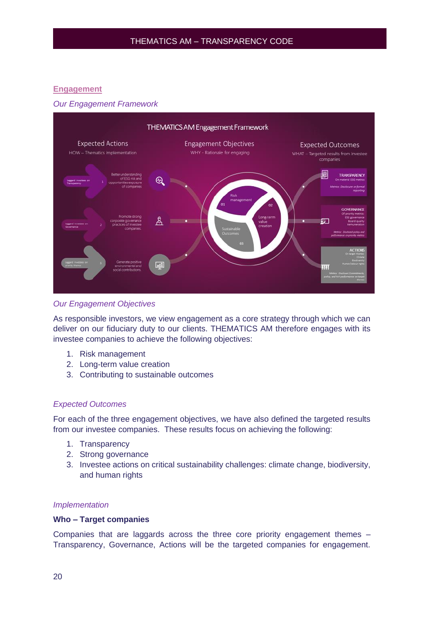#### <span id="page-19-0"></span>**Engagement**

#### *Our Engagement Framework*



#### *Our Engagement Objectives*

As responsible investors, we view engagement as a core strategy through which we can deliver on our fiduciary duty to our clients. THEMATICS AM therefore engages with its investee companies to achieve the following objectives:

- 1. Risk management
- 2. Long-term value creation
- 3. Contributing to sustainable outcomes

#### *Expected Outcomes*

For each of the three engagement objectives, we have also defined the targeted results from our investee companies. These results focus on achieving the following:

- 1. Transparency
- 2. Strong governance
- 3. Investee actions on critical sustainability challenges: climate change, biodiversity, and human rights

#### *Implementation*

#### **Who – Target companies**

Companies that are laggards across the three core priority engagement themes – Transparency, Governance, Actions will be the targeted companies for engagement.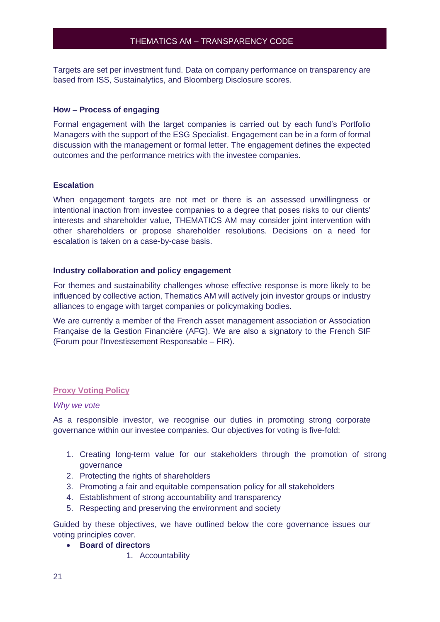Targets are set per investment fund. Data on company performance on transparency are based from ISS, Sustainalytics, and Bloomberg Disclosure scores.

#### **How – Process of engaging**

Formal engagement with the target companies is carried out by each fund's Portfolio Managers with the support of the ESG Specialist. Engagement can be in a form of formal discussion with the management or formal letter. The engagement defines the expected outcomes and the performance metrics with the investee companies.

#### **Escalation**

When engagement targets are not met or there is an assessed unwillingness or intentional inaction from investee companies to a degree that poses risks to our clients' interests and shareholder value, THEMATICS AM may consider joint intervention with other shareholders or propose shareholder resolutions. Decisions on a need for escalation is taken on a case-by-case basis.

#### **Industry collaboration and policy engagement**

For themes and sustainability challenges whose effective response is more likely to be influenced by collective action, Thematics AM will actively join investor groups or industry alliances to engage with target companies or policymaking bodies.

We are currently a member of the French asset management association or Association Française de la Gestion Financière (AFG). We are also a signatory to the [French SIF](https://www.frenchsif.org/isr-esg/french-sif/)  [\(Forum pour l'Investissement Responsable –](https://www.frenchsif.org/isr-esg/french-sif/) FIR).

#### <span id="page-20-0"></span>**Proxy Voting Policy**

#### *Why we vote*

As a responsible investor, we recognise our duties in promoting strong corporate governance within our investee companies. Our objectives for voting is five-fold:

- 1. Creating long-term value for our stakeholders through the promotion of strong governance
- 2. Protecting the rights of shareholders
- 3. Promoting a fair and equitable compensation policy for all stakeholders
- 4. Establishment of strong accountability and transparency
- 5. Respecting and preserving the environment and society

Guided by these objectives, we have outlined below the core governance issues our voting principles cover.

- **Board of directors**
	- 1. Accountability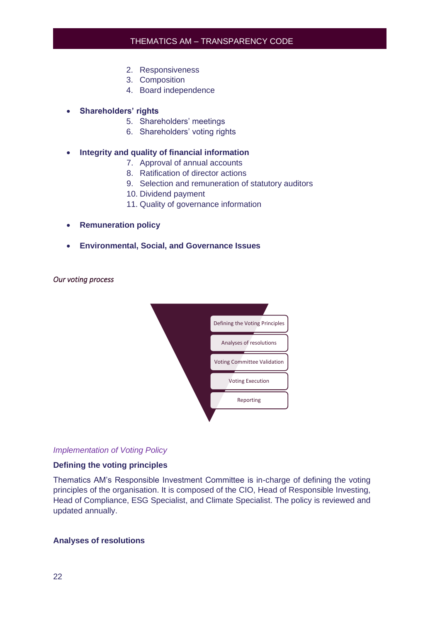- 2. Responsiveness
- 3. Composition
- 4. Board independence

#### • **Shareholders' rights**

- 5. Shareholders' meetings
- 6. Shareholders' voting rights

#### • **Integrity and quality of financial information**

- 7. Approval of annual accounts
- 8. Ratification of director actions
- 9. Selection and remuneration of statutory auditors
- 10. Dividend payment
- 11. Quality of governance information
- **Remuneration policy**
- **Environmental, Social, and Governance Issues**

#### *Our voting process*



#### *Implementation of Voting Policy*

#### **Defining the voting principles**

Thematics AM's Responsible Investment Committee is in-charge of defining the voting principles of the organisation. It is composed of the CIO, Head of Responsible Investing, Head of Compliance, ESG Specialist, and Climate Specialist. The policy is reviewed and updated annually.

#### **Analyses of resolutions**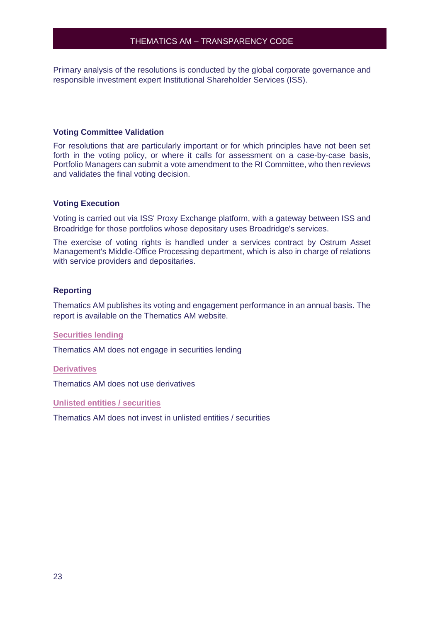Primary analysis of the resolutions is conducted by the global corporate governance and responsible investment expert Institutional Shareholder Services (ISS).

#### **Voting Committee Validation**

For resolutions that are particularly important or for which principles have not been set forth in the voting policy, or where it calls for assessment on a case-by-case basis, Portfolio Managers can submit a vote amendment to the RI Committee, who then reviews and validates the final voting decision.

#### **Voting Execution**

Voting is carried out via ISS' Proxy Exchange platform, with a gateway between ISS and Broadridge for those portfolios whose depositary uses Broadridge's services.

The exercise of voting rights is handled under a services contract by Ostrum Asset Management's Middle-Office Processing department, which is also in charge of relations with service providers and depositaries.

#### **Reporting**

Thematics AM publishes its voting and engagement performance in an annual basis. The report is available on the Thematics AM website.

#### <span id="page-22-0"></span>**Securities lending**

<span id="page-22-1"></span>Thematics AM does not engage in securities lending

#### **Derivatives**

<span id="page-22-2"></span>Thematics AM does not use derivatives

**Unlisted entities / securities** 

Thematics AM does not invest in unlisted entities / securities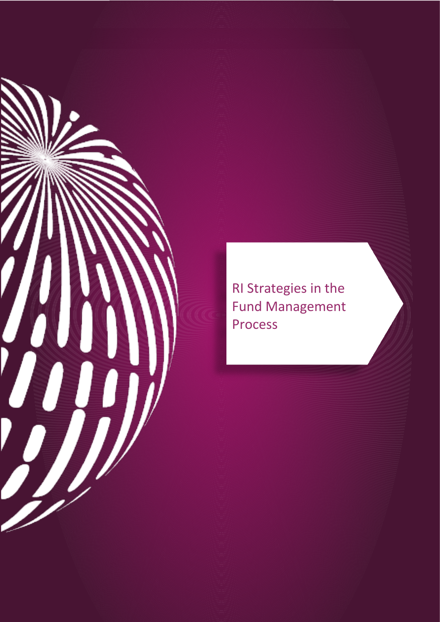

RI Strategies in the **Fund Management** Process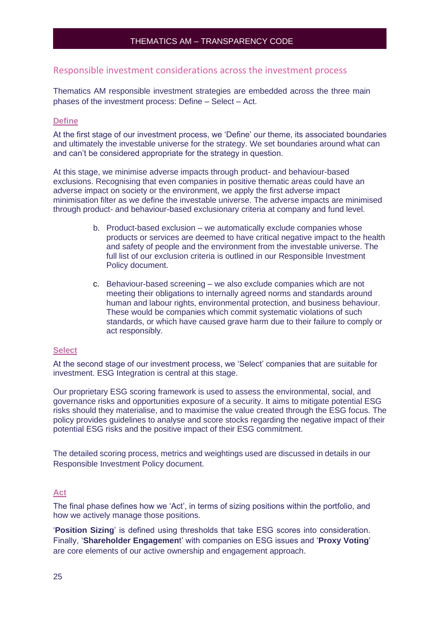#### <span id="page-24-0"></span>Responsible investment considerations across the investment process

Thematics AM responsible investment strategies are embedded across the three main phases of the investment process: Define – Select – Act.

#### <span id="page-24-1"></span>**Define**

At the first stage of our investment process, we 'Define' our theme, its associated boundaries and ultimately the investable universe for the strategy. We set boundaries around what can and can't be considered appropriate for the strategy in question.

At this stage, we minimise adverse impacts through product- and behaviour-based exclusions. Recognising that even companies in positive thematic areas could have an adverse impact on society or the environment, we apply the first adverse impact minimisation filter as we define the investable universe. The adverse impacts are minimised through product- and behaviour-based exclusionary criteria at company and fund level.

- b. Product-based exclusion we automatically exclude companies whose products or services are deemed to have critical negative impact to the health and safety of people and the environment from the investable universe. The full list of our exclusion criteria is outlined in our Responsible Investment Policy document.
- c. Behaviour-based screening we also exclude companies which are not meeting their obligations to internally agreed norms and standards around human and labour rights, environmental protection, and business behaviour. These would be companies which commit systematic violations of such standards, or which have caused grave harm due to their failure to comply or act responsibly.

#### <span id="page-24-2"></span>**Select**

At the second stage of our investment process, we 'Select' companies that are suitable for investment. ESG Integration is central at this stage.

Our proprietary ESG scoring framework is used to assess the environmental, social, and governance risks and opportunities exposure of a security. It aims to mitigate potential ESG risks should they materialise, and to maximise the value created through the ESG focus. The policy provides guidelines to analyse and score stocks regarding the negative impact of their potential ESG risks and the positive impact of their ESG commitment.

The detailed scoring process, metrics and weightings used are discussed in details in our Responsible Investment Policy document.

#### <span id="page-24-3"></span>**Act**

The final phase defines how we 'Act', in terms of sizing positions within the portfolio, and how we actively manage those positions.

'**Position Sizing**' is defined using thresholds that take ESG scores into consideration. Finally, '**Shareholder Engagemen**t' with companies on ESG issues and '**Proxy Voting**' are core elements of our active ownership and engagement approach.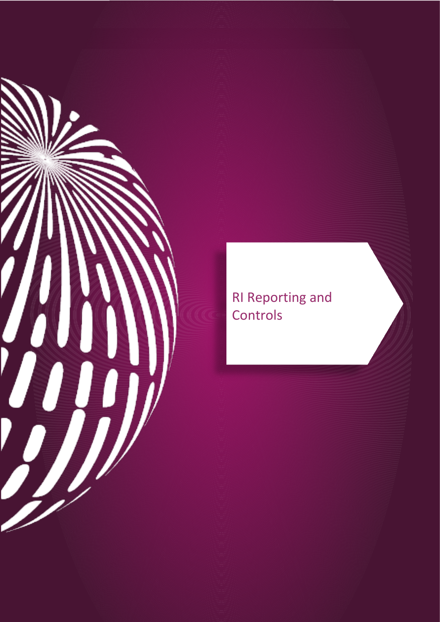

**RI Reporting and** Controls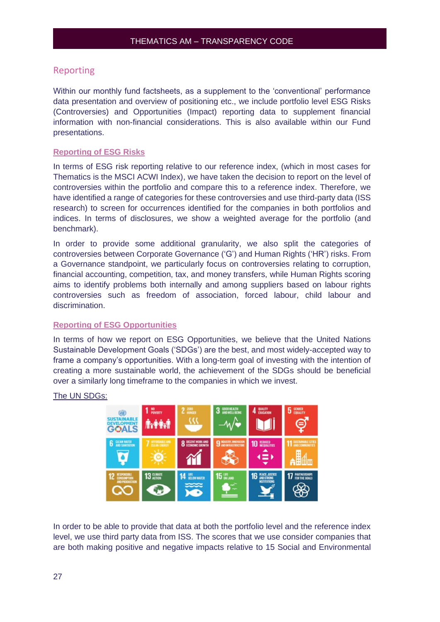#### <span id="page-26-0"></span>Reporting

Within our monthly fund factsheets, as a supplement to the 'conventional' performance data presentation and overview of positioning etc., we include portfolio level ESG Risks (Controversies) and Opportunities (Impact) reporting data to supplement financial information with non-financial considerations. This is also available within our Fund presentations.

#### <span id="page-26-1"></span>**Reporting of ESG Risks**

In terms of ESG risk reporting relative to our reference index, (which in most cases for Thematics is the MSCI ACWI Index), we have taken the decision to report on the level of controversies within the portfolio and compare this to a reference index. Therefore, we have identified a range of categories for these controversies and use third-party data (ISS research) to screen for occurrences identified for the companies in both portfolios and indices. In terms of disclosures, we show a weighted average for the portfolio (and benchmark).

In order to provide some additional granularity, we also split the categories of controversies between Corporate Governance ('G') and Human Rights ('HR') risks. From a Governance standpoint, we particularly focus on controversies relating to corruption, financial accounting, competition, tax, and money transfers, while Human Rights scoring aims to identify problems both internally and among suppliers based on labour rights controversies such as freedom of association, forced labour, child labour and discrimination.

#### <span id="page-26-2"></span>**Reporting of ESG Opportunities**

In terms of how we report on ESG Opportunities, we believe that the United Nations Sustainable Development Goals ('SDGs') are the best, and most widely-accepted way to frame a company's opportunities. With a long-term goal of investing with the intention of creating a more sustainable world, the achievement of the SDGs should be beneficial over a similarly long timeframe to the companies in which we invest.

#### The UN SDGs:



In order to be able to provide that data at both the portfolio level and the reference index level, we use third party data from ISS. The scores that we use consider companies that are both making positive and negative impacts relative to 15 Social and Environmental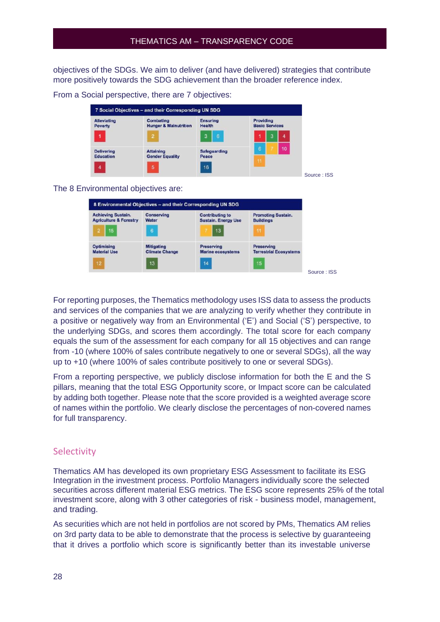objectives of the SDGs. We aim to deliver (and have delivered) strategies that contribute more positively towards the SDG achievement than the broader reference index.

From a Social perspective, there are 7 objectives:

| <b>Alleviating</b><br>Poverty | <b>Combating</b><br><b>Hunger &amp; Malnutrition</b> | <b>Ensuring</b><br><b>Health</b> | Providing<br><b>Basic Services</b> |    |
|-------------------------------|------------------------------------------------------|----------------------------------|------------------------------------|----|
| 1                             | $\overline{2}$                                       | 6<br>3                           | 3                                  | 4  |
| <b>Delivering</b>             | <b>Attaining</b>                                     | <b>Safeguarding</b>              | 6                                  | 10 |
| <b>Education</b>              | <b>Gender Equality</b>                               | Peace<br>16                      | 11                                 |    |

The 8 Environmental objectives are:

| <b>Achieving Sustain.</b>         | Conserving            | <b>Contributing to</b>     | <b>Promoting Sustain.</b>     |
|-----------------------------------|-----------------------|----------------------------|-------------------------------|
| <b>Agriculture &amp; Forestry</b> | <b>Water</b>          | <b>Sustain. Energy Use</b> | <b>Buildings</b>              |
| 15                                | $\ddot{\bf{6}}$       | 13                         | 11                            |
| <b>Optimising</b>                 | <b>Mitigating</b>     | <b>Preserving</b>          | <b>Preserving</b>             |
| <b>Material Use</b>               | <b>Climate Change</b> | <b>Marine ecosystems</b>   | <b>Terrestrial Ecosystems</b> |
| 12                                | 13                    | 14                         | 15                            |

For reporting purposes, the Thematics methodology uses ISS data to assess the products and services of the companies that we are analyzing to verify whether they contribute in a positive or negatively way from an Environmental ('E') and Social ('S') perspective, to the underlying SDGs, and scores them accordingly. The total score for each company equals the sum of the assessment for each company for all 15 objectives and can range from -10 (where 100% of sales contribute negatively to one or several SDGs), all the way up to +10 (where 100% of sales contribute positively to one or several SDGs).

From a reporting perspective, we publicly disclose information for both the E and the S pillars, meaning that the total ESG Opportunity score, or Impact score can be calculated by adding both together. Please note that the score provided is a weighted average score of names within the portfolio. We clearly disclose the percentages of non-covered names for full transparency.

#### <span id="page-27-0"></span>**Selectivity**

Thematics AM has developed its own proprietary ESG Assessment to facilitate its ESG Integration in the investment process. Portfolio Managers individually score the selected securities across different material ESG metrics. The ESG score represents 25% of the total investment score, along with 3 other categories of risk - business model, management, and trading.

As securities which are not held in portfolios are not scored by PMs, Thematics AM relies on 3rd party data to be able to demonstrate that the process is selective by guaranteeing that it drives a portfolio which score is significantly better than its investable universe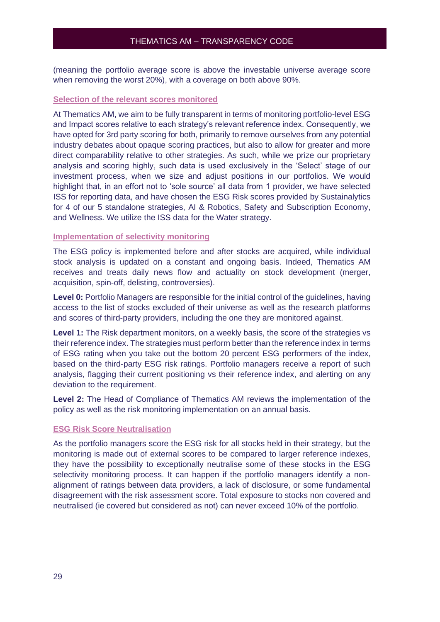(meaning the portfolio average score is above the investable universe average score when removing the worst 20%), with a coverage on both above 90%.

#### <span id="page-28-0"></span>**Selection of the relevant scores monitored**

At Thematics AM, we aim to be fully transparent in terms of monitoring portfolio-level ESG and Impact scores relative to each strategy's relevant reference index. Consequently, we have opted for 3rd party scoring for both, primarily to remove ourselves from any potential industry debates about opaque scoring practices, but also to allow for greater and more direct comparability relative to other strategies. As such, while we prize our proprietary analysis and scoring highly, such data is used exclusively in the 'Select' stage of our investment process, when we size and adjust positions in our portfolios. We would highlight that, in an effort not to 'sole source' all data from 1 provider, we have selected ISS for reporting data, and have chosen the ESG Risk scores provided by Sustainalytics for 4 of our 5 standalone strategies, AI & Robotics, Safety and Subscription Economy, and Wellness. We utilize the ISS data for the Water strategy.

#### <span id="page-28-1"></span>**Implementation of selectivity monitoring**

The ESG policy is implemented before and after stocks are acquired, while individual stock analysis is updated on a constant and ongoing basis. Indeed, Thematics AM receives and treats daily news flow and actuality on stock development (merger, acquisition, spin-off, delisting, controversies).

**Level 0:** Portfolio Managers are responsible for the initial control of the guidelines, having access to the list of stocks excluded of their universe as well as the research platforms and scores of third-party providers, including the one they are monitored against.

**Level 1:** The Risk department monitors, on a weekly basis, the score of the strategies vs their reference index. The strategies must perform better than the reference index in terms of ESG rating when you take out the bottom 20 percent ESG performers of the index, based on the third-party ESG risk ratings. Portfolio managers receive a report of such analysis, flagging their current positioning vs their reference index, and alerting on any deviation to the requirement.

**Level 2:** The Head of Compliance of Thematics AM reviews the implementation of the policy as well as the risk monitoring implementation on an annual basis.

#### <span id="page-28-2"></span>**ESG Risk Score Neutralisation**

As the portfolio managers score the ESG risk for all stocks held in their strategy, but the monitoring is made out of external scores to be compared to larger reference indexes, they have the possibility to exceptionally neutralise some of these stocks in the ESG selectivity monitoring process. It can happen if the portfolio managers identify a nonalignment of ratings between data providers, a lack of disclosure, or some fundamental disagreement with the risk assessment score. Total exposure to stocks non covered and neutralised (ie covered but considered as not) can never exceed 10% of the portfolio.